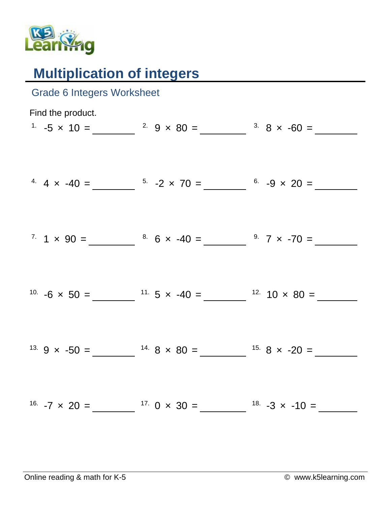

## **Multiplication of integers**

| <b>Grade 6 Integers Worksheet</b> |                                                                                             |  |
|-----------------------------------|---------------------------------------------------------------------------------------------|--|
| Find the product.                 | <sup>1</sup> $-5 \times 10 =$ $2 \times 80 =$ $3 \times 8 \times -60 =$                     |  |
|                                   |                                                                                             |  |
|                                   | <sup>4</sup> $4 \times -40 =$ $5 -2 \times 70 =$ $6 -9 \times 20 =$                         |  |
|                                   | $7. 1 \times 90 =$ $8. 6 \times -40 =$ $9. 7 \times -70 =$                                  |  |
|                                   |                                                                                             |  |
|                                   | <sup>10.</sup> $-6 \times 50 =$ $\frac{11.5 \times -40}{5} =$ $\frac{12.10 \times 80}{5} =$ |  |
|                                   |                                                                                             |  |
|                                   | <sup>13.</sup> 9 x -50 = $14.8 \times 80 = 15.8 \times -20 =$                               |  |
|                                   |                                                                                             |  |
|                                   |                                                                                             |  |